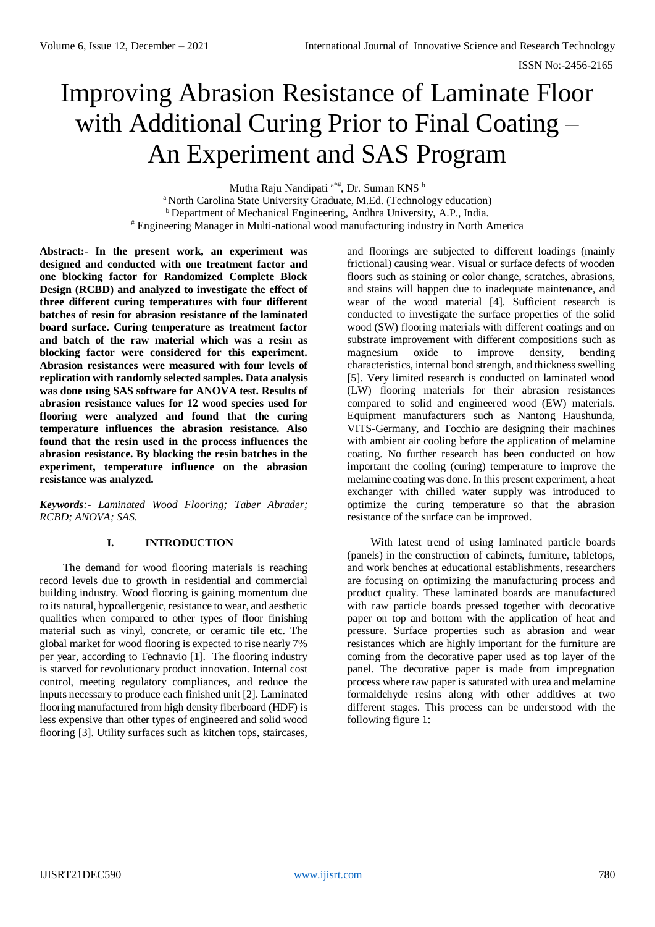# Improving Abrasion Resistance of Laminate Floor with Additional Curing Prior to Final Coating – An Experiment and SAS Program

Mutha Raju Nandipati a\*#, Dr. Suman KNS <sup>b</sup>

<sup>a</sup> North Carolina State University Graduate, M.Ed. (Technology education) b Department of Mechanical Engineering, Andhra University, A.P., India. # Engineering Manager in Multi-national wood manufacturing industry in North America

**Abstract:- In the present work, an experiment was designed and conducted with one treatment factor and one blocking factor for Randomized Complete Block Design (RCBD) and analyzed to investigate the effect of three different curing temperatures with four different batches of resin for abrasion resistance of the laminated board surface. Curing temperature as treatment factor and batch of the raw material which was a resin as blocking factor were considered for this experiment. Abrasion resistances were measured with four levels of replication with randomly selected samples. Data analysis was done using SAS software for ANOVA test. Results of abrasion resistance values for 12 wood species used for flooring were analyzed and found that the curing temperature influences the abrasion resistance. Also found that the resin used in the process influences the abrasion resistance. By blocking the resin batches in the experiment, temperature influence on the abrasion resistance was analyzed.** 

*Keywords:- Laminated Wood Flooring; Taber Abrader; RCBD; ANOVA; SAS.*

# **I. INTRODUCTION**

The demand for wood flooring materials is reaching record levels due to growth in residential and commercial building industry. Wood flooring is gaining momentum due to its natural, hypoallergenic, resistance to wear, and aesthetic qualities when compared to other types of floor finishing material such as vinyl, concrete, or ceramic tile etc. The global market for wood flooring is expected to rise nearly 7% per year, according to Technavio [1]. The flooring industry is starved for revolutionary product innovation. Internal cost control, meeting regulatory compliances, and reduce the inputs necessary to produce each finished unit [2]. Laminated flooring manufactured from high density fiberboard (HDF) is less expensive than other types of engineered and solid wood flooring [3]. Utility surfaces such as kitchen tops, staircases,

and floorings are subjected to different loadings (mainly frictional) causing wear. Visual or surface defects of wooden floors such as staining or color change, scratches, abrasions, and stains will happen due to inadequate maintenance, and wear of the wood material [4]. Sufficient research is conducted to investigate the surface properties of the solid wood (SW) flooring materials with different coatings and on substrate improvement with different compositions such as magnesium oxide to improve density, bending characteristics, internal bond strength, and thickness swelling [5]. Very limited research is conducted on laminated wood (LW) flooring materials for their abrasion resistances compared to solid and engineered wood (EW) materials. Equipment manufacturers such as Nantong Haushunda, VITS-Germany, and Tocchio are designing their machines with ambient air cooling before the application of melamine coating. No further research has been conducted on how important the cooling (curing) temperature to improve the melamine coating was done. In this present experiment, a heat exchanger with chilled water supply was introduced to optimize the curing temperature so that the abrasion resistance of the surface can be improved.

With latest trend of using laminated particle boards (panels) in the construction of cabinets, furniture, tabletops, and work benches at educational establishments, researchers are focusing on optimizing the manufacturing process and product quality. These laminated boards are manufactured with raw particle boards pressed together with decorative paper on top and bottom with the application of heat and pressure. Surface properties such as abrasion and wear resistances which are highly important for the furniture are coming from the decorative paper used as top layer of the panel. The decorative paper is made from impregnation process where raw paper is saturated with urea and melamine formaldehyde resins along with other additives at two different stages. This process can be understood with the following figure 1: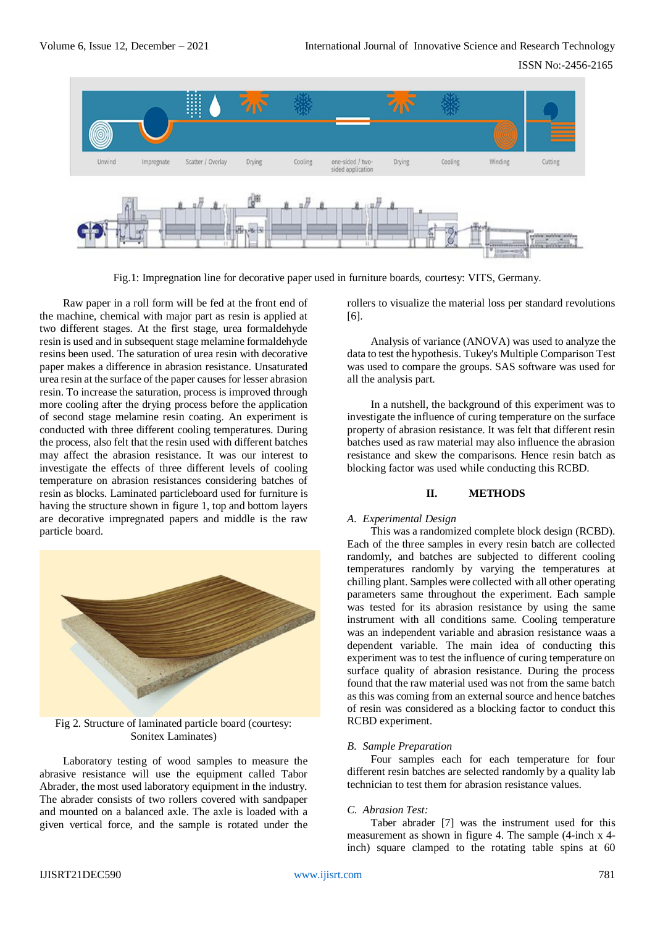

Fig.1: Impregnation line for decorative paper used in furniture boards, courtesy: VITS, Germany.

Raw paper in a roll form will be fed at the front end of the machine, chemical with major part as resin is applied at two different stages. At the first stage, urea formaldehyde resin is used and in subsequent stage melamine formaldehyde resins been used. The saturation of urea resin with decorative paper makes a difference in abrasion resistance. Unsaturated urea resin at the surface of the paper causes for lesser abrasion resin. To increase the saturation, process is improved through more cooling after the drying process before the application of second stage melamine resin coating. An experiment is conducted with three different cooling temperatures. During the process, also felt that the resin used with different batches may affect the abrasion resistance. It was our interest to investigate the effects of three different levels of cooling temperature on abrasion resistances considering batches of resin as blocks. Laminated particleboard used for furniture is having the structure shown in figure 1, top and bottom layers are decorative impregnated papers and middle is the raw particle board.



Fig 2. Structure of laminated particle board (courtesy: Sonitex Laminates)

Laboratory testing of wood samples to measure the abrasive resistance will use the equipment called Tabor Abrader, the most used laboratory equipment in the industry. The abrader consists of two rollers covered with sandpaper and mounted on a balanced axle. The axle is loaded with a given vertical force, and the sample is rotated under the rollers to visualize the material loss per standard revolutions [6].

Analysis of variance (ANOVA) was used to analyze the data to test the hypothesis. Tukey's Multiple Comparison Test was used to compare the groups. SAS software was used for all the analysis part.

In a nutshell, the background of this experiment was to investigate the influence of curing temperature on the surface property of abrasion resistance. It was felt that different resin batches used as raw material may also influence the abrasion resistance and skew the comparisons. Hence resin batch as blocking factor was used while conducting this RCBD.

# **II. METHODS**

# *A. Experimental Design*

This was a randomized complete block design (RCBD). Each of the three samples in every resin batch are collected randomly, and batches are subjected to different cooling temperatures randomly by varying the temperatures at chilling plant. Samples were collected with all other operating parameters same throughout the experiment. Each sample was tested for its abrasion resistance by using the same instrument with all conditions same. Cooling temperature was an independent variable and abrasion resistance waas a dependent variable. The main idea of conducting this experiment was to test the influence of curing temperature on surface quality of abrasion resistance. During the process found that the raw material used was not from the same batch as this was coming from an external source and hence batches of resin was considered as a blocking factor to conduct this RCBD experiment.

# *B. Sample Preparation*

Four samples each for each temperature for four different resin batches are selected randomly by a quality lab technician to test them for abrasion resistance values.

# *C. Abrasion Test:*

Taber abrader [7] was the instrument used for this measurement as shown in figure 4. The sample (4-inch x 4 inch) square clamped to the rotating table spins at 60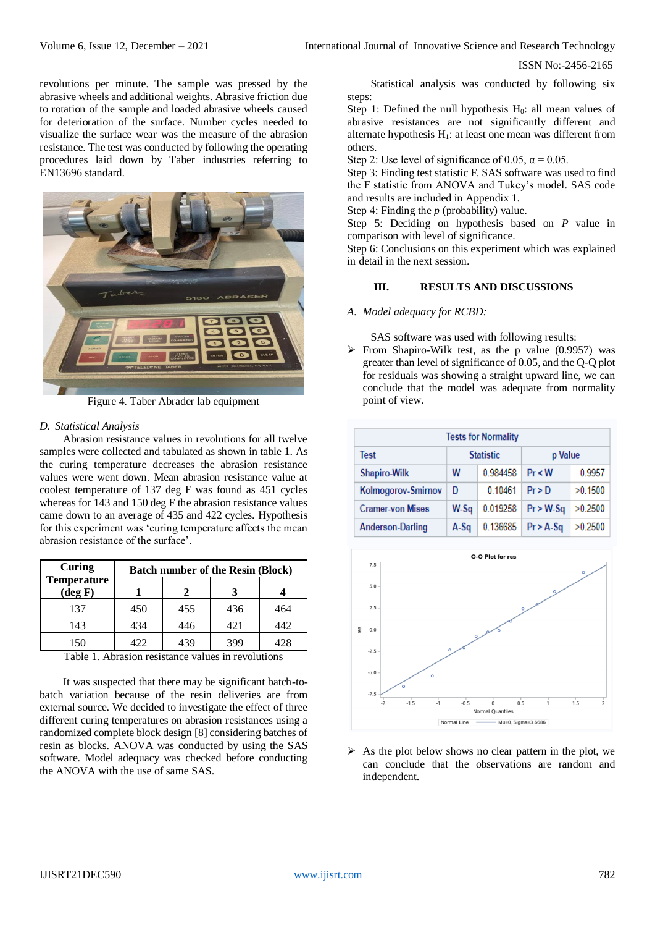revolutions per minute. The sample was pressed by the abrasive wheels and additional weights. Abrasive friction due to rotation of the sample and loaded abrasive wheels caused for deterioration of the surface. Number cycles needed to visualize the surface wear was the measure of the abrasion resistance. The test was conducted by following the operating procedures laid down by Taber industries referring to EN13696 standard.



Figure 4. Taber Abrader lab equipment

# *D. Statistical Analysis*

Abrasion resistance values in revolutions for all twelve samples were collected and tabulated as shown in table 1. As the curing temperature decreases the abrasion resistance values were went down. Mean abrasion resistance value at coolest temperature of 137 deg F was found as 451 cycles whereas for 143 and 150 deg F the abrasion resistance values came down to an average of 435 and 422 cycles. Hypothesis for this experiment was 'curing temperature affects the mean abrasion resistance of the surface'.

| Curing                                  | <b>Batch number of the Resin (Block)</b> |     |     |     |  |  |
|-----------------------------------------|------------------------------------------|-----|-----|-----|--|--|
| <b>Temperature</b><br>$(\text{deg } F)$ |                                          |     |     |     |  |  |
| 137                                     | 450                                      | 455 | 436 | 464 |  |  |
| 143                                     | 434                                      | 446 | 421 | 442 |  |  |
| 150                                     | 422                                      | 439 | 399 | 428 |  |  |

Table 1. Abrasion resistance values in revolutions

It was suspected that there may be significant batch-tobatch variation because of the resin deliveries are from external source. We decided to investigate the effect of three different curing temperatures on abrasion resistances using a randomized complete block design [8] considering batches of resin as blocks. ANOVA was conducted by using the SAS software. Model adequacy was checked before conducting the ANOVA with the use of same SAS.

Statistical analysis was conducted by following six steps:

Step 1: Defined the null hypothesis  $H_0$ : all mean values of abrasive resistances are not significantly different and alternate hypothesis  $H_1$ : at least one mean was different from others.

Step 2: Use level of significance of 0.05,  $\alpha = 0.05$ .

Step 3: Finding test statistic F. SAS software was used to find the F statistic from ANOVA and Tukey's model. SAS code and results are included in Appendix 1.

Step 4: Finding the *p* (probability) value.

Step 5: Deciding on hypothesis based on *P* value in comparison with level of significance.

Step 6: Conclusions on this experiment which was explained in detail in the next session.

# **III. RESULTS AND DISCUSSIONS**

### *A. Model adequacy for RCBD:*

SAS software was used with following results:

 $\triangleright$  From Shapiro-Wilk test, as the p value (0.9957) was greater than level of significance of 0.05, and the Q-Q plot for residuals was showing a straight upward line, we can conclude that the model was adequate from normality point of view.

| <b>Tests for Normality</b> |      |                  |             |         |  |  |  |  |
|----------------------------|------|------------------|-------------|---------|--|--|--|--|
| Test                       |      | <b>Statistic</b> | p Value     |         |  |  |  |  |
| <b>Shapiro-Wilk</b>        | W    | 0.984458         | $Pr$ < W    | 0.9957  |  |  |  |  |
| Kolmogorov-Smirnov         | D    | 0.10461          | Pr > D      | >0.1500 |  |  |  |  |
| <b>Cramer-von Mises</b>    | W-Sa | 0.019258         | $Pr > W-Sq$ | >0.2500 |  |  |  |  |
| <b>Anderson-Darling</b>    | A-Sa | 0.136685         | $Pr > A-Sq$ | >0.2500 |  |  |  |  |



 $\triangleright$  As the plot below shows no clear pattern in the plot, we can conclude that the observations are random and independent.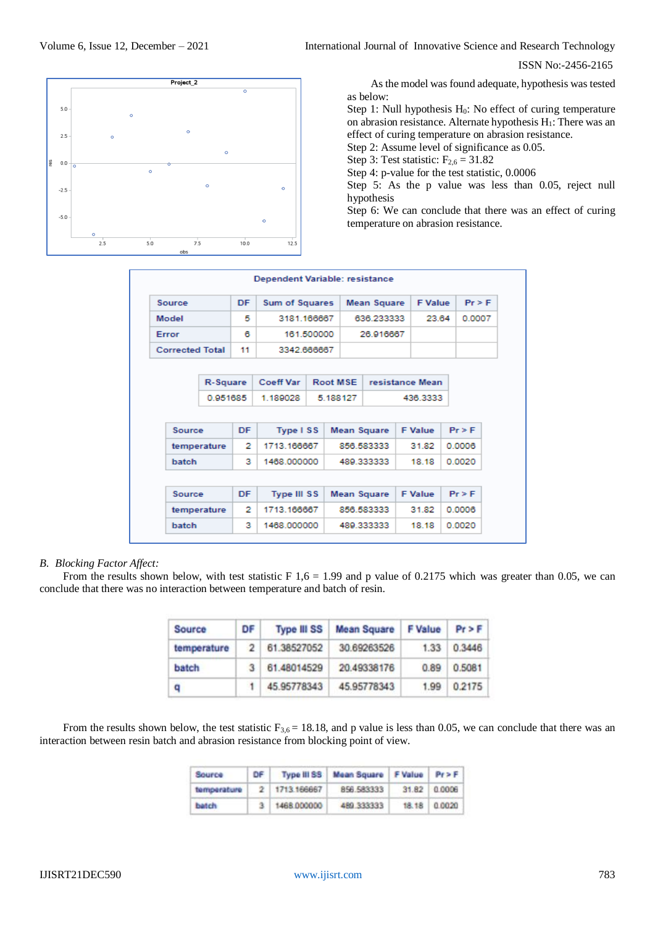

As the model was found adequate, hypothesis was tested as below:

Step 1: Null hypothesis  $H_0$ : No effect of curing temperature on abrasion resistance. Alternate hypothesis  $H_1$ : There was an effect of curing temperature on abrasion resistance.

- Step 2: Assume level of significance as 0.05.
- Step 3: Test statistic:  $F_{2,6} = 31.82$
- Step 4: p-value for the test statistic, 0.0006 Step 5: As the p value was less than 0.05, reject null hypothesis
- Step 6: We can conclude that there was an effect of curing temperature on abrasion resistance.

|                        |             |           | Dependent Variable: resistance |             |          |                    |                 |             |
|------------------------|-------------|-----------|--------------------------------|-------------|----------|--------------------|-----------------|-------------|
| Source                 |             | <b>DF</b> | <b>Sum of Squares</b>          |             |          | <b>Mean Square</b> | <b>F</b> Value  | $Pr \geq F$ |
| Model                  |             | 5         |                                | 3181.166667 |          | 636.233333         | 23.64           | 0.0007      |
| <b>Error</b>           |             | 8         |                                | 161.500000  |          | 26.916667          |                 |             |
| <b>Corrected Total</b> |             | 11        |                                | 3342.666667 |          |                    |                 |             |
|                        |             |           |                                |             |          |                    |                 |             |
|                        | R-Square    |           | <b>Coeff Var</b>               | Root MSE    |          |                    | resistance Mean |             |
|                        | 0.951685    |           | 1.189028<br>5.188127           |             | 436.3333 |                    |                 |             |
|                        |             |           |                                |             |          |                    |                 |             |
| <b>Source</b>          |             | DF        | Type ISS                       |             |          | Mean Square        | <b>F</b> Value  | $Pr \geq F$ |
|                        | temperature | 2         | 1713.166667                    |             |          | 856.583333         | 31.82           | 0.0006      |
| <b>batch</b>           |             | з         | 1468.000000                    |             |          | 489.333333         | 18.18           | 0.0020      |
|                        |             |           |                                |             |          |                    |                 |             |
| Source                 |             | <b>DF</b> | Type III SS                    |             |          | Mean Square        | <b>F</b> Value  | $Pr \geq F$ |
|                        | temperature | 2         | 1713.166667                    |             |          | 856.583333         | 31.82           | 0.0006      |
| batch                  |             | з         | 1468.000000                    |             |          | 489.333333         | 18.18           | 0.0020      |

# *B. Blocking Factor Affect:*

From the results shown below, with test statistic F  $1,6 = 1.99$  and p value of 0.2175 which was greater than 0.05, we can conclude that there was no interaction between temperature and batch of resin.

| Source      | DF            | <b>Type III SS</b> | <b>Mean Square</b> | <b>F Value</b> | $Pr$ > F |
|-------------|---------------|--------------------|--------------------|----------------|----------|
| temperature | $\mathcal{D}$ | 61.38527052        | 30.69263526        | 1.33           | 0.3446   |
| batch       | 3             | 61.48014529        | 20.49338176        | 0.89           | 0.5081   |
| q           |               | 45.95778343        | 45.95778343        | 1.99           | 0.2175   |

From the results shown below, the test statistic  $F_{3,6} = 18.18$ , and p value is less than 0.05, we can conclude that there was an interaction between resin batch and abrasion resistance from blocking point of view.

| Source      | DF I |               | Type III SS   Mean Square   F Value   Pr > F |              |              |
|-------------|------|---------------|----------------------------------------------|--------------|--------------|
| temperature |      | 2 1713 166667 | 856.583333                                   | 31.82 0.0006 |              |
| batch       |      | 3 1468.000000 | 489 333333                                   |              | 18.18 0.0020 |